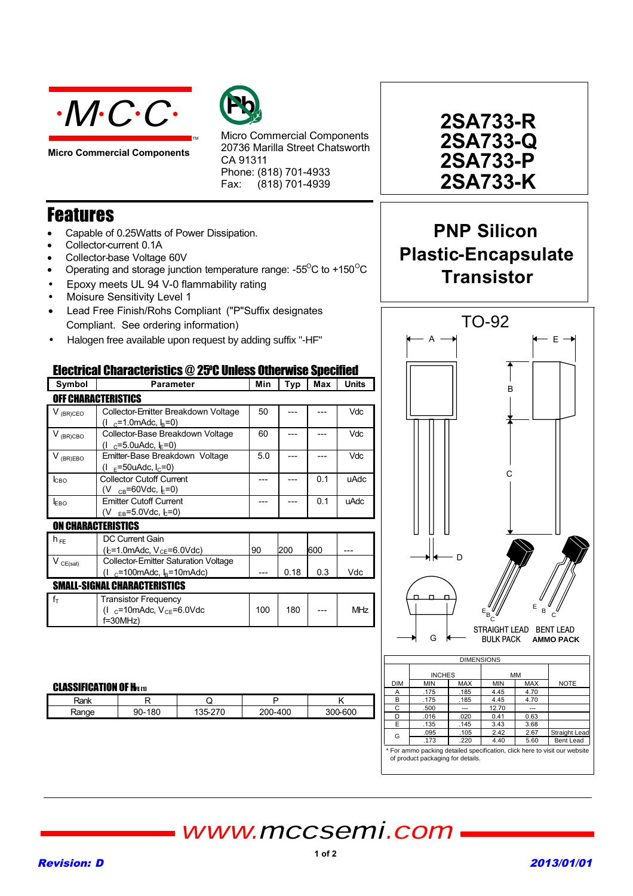

**Micro Commercial Components**



Micro Commercial Components 20736 Marilla Street Chatsworth CA 91311 Phone: (818) 701-4933 Fax:  $(818)$  701-4939

## Features

- Capable of 0.25Watts of Power Dissipation.
- Collector-current 0.1A
- Collector-base Voltage 60V
- Operating and storage junction temperature range:  $-55^{\circ}$ C to  $+150^{\circ}$ C

TM

- Epoxy meets UL 94 V-0 flammability rating
- Moisure Sensitivity Level 1
- Lead Free Finish/Rohs Compliant ("P"Suffix designates Compliant. See ordering information)
- Halogen free available upon request by adding suffix "-HF"

## Flectrical Characteristics @ 25°C IInless Otherwise Specified

| Symbol               | <b>Parameter</b>                                                                                        | Min | Typ  | Max | <b>Units</b> |
|----------------------|---------------------------------------------------------------------------------------------------------|-----|------|-----|--------------|
|                      | <b>OFF CHARACTERISTICS</b>                                                                              |     |      |     |              |
| V <sub>(BR)CEO</sub> | Collector-Emitter Breakdown Voltage<br>$(1 \text{ } c=1.0 \text{m}$ Adc, $I_B=0)$                       | 50  |      |     | Vdc          |
| $V_{(BR)CBO}$        | Collector-Base Breakdown Voltage<br>(I $_{\text{C}}$ =5.0uAdc, $\downarrow$ =0)                         | 60  |      |     | Vdc          |
| $V_{(BR)EBO}$        | Emitter-Base Breakdown Voltage<br>$(I_{F} = 50u$ Adc, $I_{C} = 0$ )                                     | 5.0 |      |     | <b>Vdc</b>   |
| <b>I</b> сво         | <b>Collector Cutoff Current</b><br>(V $_{CB}$ =60Vdc, $_{E}$ =0)                                        |     |      | 0.1 | uAdc         |
| EBO                  | <b>Emitter Cutoff Current</b><br>(V $_{EB} = 5.0$ Vdc, $_{E} = 0$ )                                     |     |      | 0.1 | uAdc         |
|                      | <b>ON CHARACTERISTICS</b>                                                                               |     |      |     |              |
| $h_{FE}$             | <b>DC Current Gain</b><br>(b=1.0mAdc, V <sub>CE</sub> =6.0Vdc)                                          | 90  | 200  | 600 |              |
| $V_{CE(sat)}$        | <b>Collector-Emitter Saturation Voltage</b><br>$(1 \text{ } c=100 \text{m}$ Adc, $I_B$ =10mAdc)         |     | 0.18 | 0.3 | Vdc          |
|                      | <b>SMALL-SIGNAL CHARACTERISTICS</b>                                                                     |     |      |     |              |
| $f_T$                | <b>Transistor Frequency</b><br>$(1 \text{ } c=10 \text{m}$ Adc, $V_{CF} = 6.0 \text{V}$ dc<br>$f=30MHz$ | 100 | 180  |     | <b>MHz</b>   |

### **CLASSIFICATION OF HEETH**

| ₹ank                   |          |     |        |
|------------------------|----------|-----|--------|
| 'ange<br><b>VALITY</b> | 80<br>90 | 400 | $-600$ |

**2SA733-R 2SA733-P 2SA733-K 2SA733-Q**

# **PNP Silicon Plastic-Encapsulate Transistor**



For ammo packing detailed specification, click here to visit our website of product packaging for details.

## www.mccsemi.com